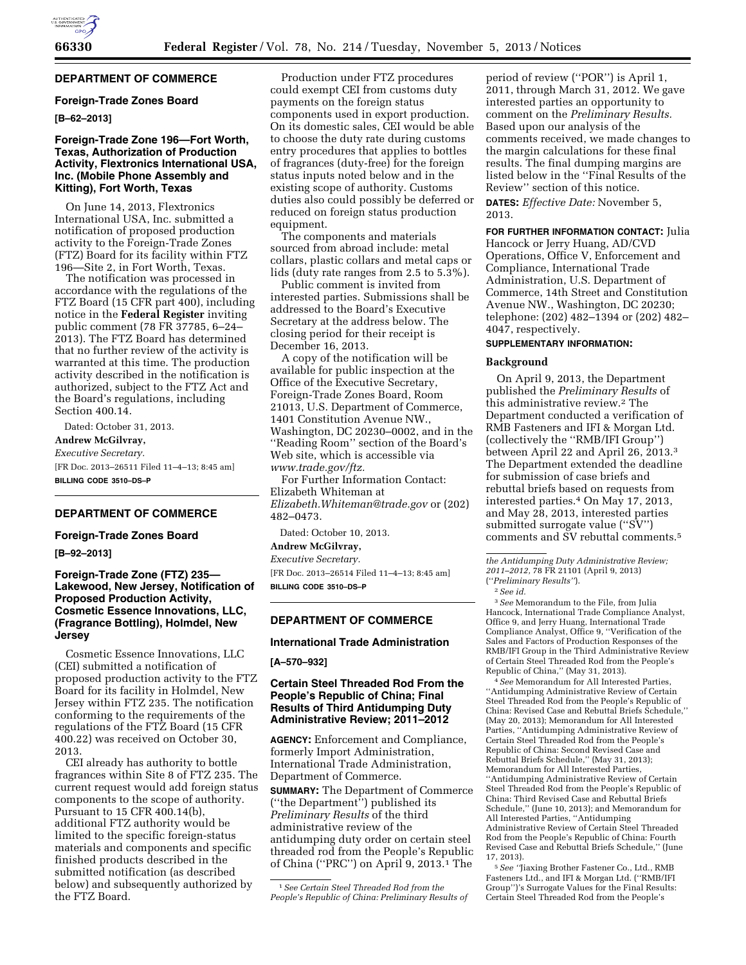

# **DEPARTMENT OF COMMERCE**

# **Foreign-Trade Zones Board**

# **[B–62–2013]**

# **Foreign-Trade Zone 196—Fort Worth, Texas, Authorization of Production Activity, Flextronics International USA, Inc. (Mobile Phone Assembly and Kitting), Fort Worth, Texas**

On June 14, 2013, Flextronics International USA, Inc. submitted a notification of proposed production activity to the Foreign-Trade Zones (FTZ) Board for its facility within FTZ 196—Site 2, in Fort Worth, Texas.

The notification was processed in accordance with the regulations of the FTZ Board (15 CFR part 400), including notice in the **Federal Register** inviting public comment (78 FR 37785, 6–24– 2013). The FTZ Board has determined that no further review of the activity is warranted at this time. The production activity described in the notification is authorized, subject to the FTZ Act and the Board's regulations, including Section 400.14.

Dated: October 31, 2013. **Andrew McGilvray,**  *Executive Secretary.*  [FR Doc. 2013–26511 Filed 11–4–13; 8:45 am]

**BILLING CODE 3510–DS–P** 

## **DEPARTMENT OF COMMERCE**

#### **Foreign-Trade Zones Board**

**[B–92–2013]** 

# **Foreign-Trade Zone (FTZ) 235— Lakewood, New Jersey, Notification of Proposed Production Activity, Cosmetic Essence Innovations, LLC, (Fragrance Bottling), Holmdel, New Jersey**

Cosmetic Essence Innovations, LLC (CEI) submitted a notification of proposed production activity to the FTZ Board for its facility in Holmdel, New Jersey within FTZ 235. The notification conforming to the requirements of the regulations of the FTZ Board (15 CFR 400.22) was received on October 30, 2013.

CEI already has authority to bottle fragrances within Site 8 of FTZ 235. The current request would add foreign status components to the scope of authority. Pursuant to 15 CFR 400.14(b), additional FTZ authority would be limited to the specific foreign-status materials and components and specific finished products described in the submitted notification (as described below) and subsequently authorized by the FTZ Board.

Production under FTZ procedures could exempt CEI from customs duty payments on the foreign status components used in export production. On its domestic sales, CEI would be able to choose the duty rate during customs entry procedures that applies to bottles of fragrances (duty-free) for the foreign status inputs noted below and in the existing scope of authority. Customs duties also could possibly be deferred or reduced on foreign status production equipment.

The components and materials sourced from abroad include: metal collars, plastic collars and metal caps or lids (duty rate ranges from 2.5 to 5.3%).

Public comment is invited from interested parties. Submissions shall be addressed to the Board's Executive Secretary at the address below. The closing period for their receipt is December 16, 2013.

A copy of the notification will be available for public inspection at the Office of the Executive Secretary, Foreign-Trade Zones Board, Room 21013, U.S. Department of Commerce, 1401 Constitution Avenue NW., Washington, DC 20230–0002, and in the ''Reading Room'' section of the Board's Web site, which is accessible via *[www.trade.gov/ftz.](http://www.trade.gov/ftz)* 

For Further Information Contact: Elizabeth Whiteman at *[Elizabeth.Whiteman@trade.gov](mailto:Elizabeth.Whiteman@trade.gov)* or (202) 482–0473.

Dated: October 10, 2013. **Andrew McGilvray,** 

# *Executive Secretary.*

[FR Doc. 2013–26514 Filed 11–4–13; 8:45 am] **BILLING CODE 3510–DS–P** 

## **DEPARTMENT OF COMMERCE**

#### **International Trade Administration**

## **[A–570–932]**

# **Certain Steel Threaded Rod From the People's Republic of China; Final Results of Third Antidumping Duty Administrative Review; 2011–2012**

**AGENCY:** Enforcement and Compliance, formerly Import Administration, International Trade Administration, Department of Commerce.

**SUMMARY:** The Department of Commerce (''the Department'') published its *Preliminary Results* of the third administrative review of the antidumping duty order on certain steel threaded rod from the People's Republic of China (''PRC'') on April 9, 2013.1 The

period of review (''POR'') is April 1, 2011, through March 31, 2012. We gave interested parties an opportunity to comment on the *Preliminary Results.*  Based upon our analysis of the comments received, we made changes to the margin calculations for these final results. The final dumping margins are listed below in the ''Final Results of the Review'' section of this notice.

**DATES:** *Effective Date:* November 5, 2013.

**FOR FURTHER INFORMATION CONTACT:** Julia Hancock or Jerry Huang, AD/CVD Operations, Office V, Enforcement and Compliance, International Trade Administration, U.S. Department of Commerce, 14th Street and Constitution Avenue NW., Washington, DC 20230; telephone: (202) 482–1394 or (202) 482– 4047, respectively.

#### **SUPPLEMENTARY INFORMATION:**

#### **Background**

On April 9, 2013, the Department published the *Preliminary Results* of this administrative review.2 The Department conducted a verification of RMB Fasteners and IFI & Morgan Ltd. (collectively the ''RMB/IFI Group'') between April 22 and April 26, 2013.3 The Department extended the deadline for submission of case briefs and rebuttal briefs based on requests from interested parties.4 On May 17, 2013, and May 28, 2013, interested parties submitted surrogate value ("SV") comments and SV rebuttal comments.5

*the Antidumping Duty Administrative Review; 2011–2012,* 78 FR 21101 (April 9, 2013) (''*Preliminary Results''*).

## 2*See id.*

3*See* Memorandum to the File, from Julia Hancock, International Trade Compliance Analyst, Office 9, and Jerry Huang, International Trade Compliance Analyst, Office 9, ''Verification of the Sales and Factors of Production Responses of the RMB/IFI Group in the Third Administrative Review of Certain Steel Threaded Rod from the People's Republic of China,'' (May 31, 2013).

4*See* Memorandum for All Interested Parties, ''Antidumping Administrative Review of Certain Steel Threaded Rod from the People's Republic of China: Revised Case and Rebuttal Briefs Schedule,'' (May 20, 2013); Memorandum for All Interested Parties, ''Antidumping Administrative Review of Certain Steel Threaded Rod from the People's Republic of China: Second Revised Case and Rebuttal Briefs Schedule,'' (May 31, 2013); Memorandum for All Interested Parties, ''Antidumping Administrative Review of Certain Steel Threaded Rod from the People's Republic of China: Third Revised Case and Rebuttal Briefs Schedule,'' (June 10, 2013); and Memorandum for All Interested Parties, ''Antidumping Administrative Review of Certain Steel Threaded Rod from the People's Republic of China: Fourth Revised Case and Rebuttal Briefs Schedule,'' (June 17, 2013).

5*See ''*Jiaxing Brother Fastener Co., Ltd., RMB Fasteners Ltd., and IFI & Morgan Ltd. (''RMB/IFI Group'')'s Surrogate Values for the Final Results: Certain Steel Threaded Rod from the People's

<sup>1</sup>*See Certain Steel Threaded Rod from the People's Republic of China: Preliminary Results of*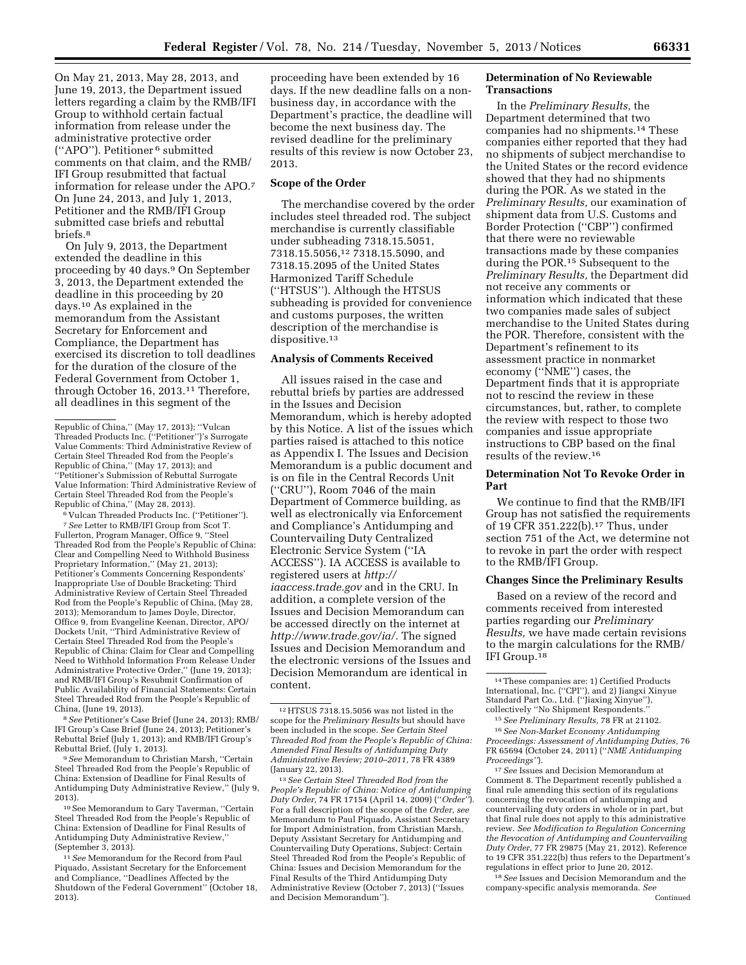On May 21, 2013, May 28, 2013, and June 19, 2013, the Department issued letters regarding a claim by the RMB/IFI Group to withhold certain factual information from release under the administrative protective order (''APO''). Petitioner 6 submitted comments on that claim, and the RMB/ IFI Group resubmitted that factual information for release under the APO.7 On June 24, 2013, and July 1, 2013, Petitioner and the RMB/IFI Group submitted case briefs and rebuttal briefs.8

On July 9, 2013, the Department extended the deadline in this proceeding by 40 days.9 On September 3, 2013, the Department extended the deadline in this proceeding by 20 days.10 As explained in the memorandum from the Assistant Secretary for Enforcement and Compliance, the Department has exercised its discretion to toll deadlines for the duration of the closure of the Federal Government from October 1, through October 16, 2013.11 Therefore, all deadlines in this segment of the

6 Vulcan Threaded Products Inc. (''Petitioner''). 7*See* Letter to RMB/IFI Group from Scot T. Fullerton, Program Manager, Office 9, ''Steel Threaded Rod from the People's Republic of China: Clear and Compelling Need to Withhold Business Proprietary Information,'' (May 21, 2013); Petitioner's Comments Concerning Respondents' Inappropriate Use of Double Bracketing: Third Administrative Review of Certain Steel Threaded Rod from the People's Republic of China, (May 28, 2013); Memorandum to James Doyle, Director, Office 9, from Evangeline Keenan, Director, APO/ Dockets Unit, ''Third Administrative Review of Certain Steel Threaded Rod from the People's Republic of China: Claim for Clear and Compelling Need to Withhold Information From Release Under Administrative Protective Order,'' (June 19, 2013); and RMB/IFI Group's Resubmit Confirmation of Public Availability of Financial Statements: Certain Steel Threaded Rod from the People's Republic of China, (June 19, 2013).

8*See* Petitioner's Case Brief (June 24, 2013); RMB/ IFI Group's Case Brief (June 24, 2013); Petitioner's Rebuttal Brief (July 1, 2013); and RMB/IFI Group's Rebuttal Brief, (July 1, 2013).

9*See* Memorandum to Christian Marsh, ''Certain Steel Threaded Rod from the People's Republic of China: Extension of Deadline for Final Results of Antidumping Duty Administrative Review,'' (July 9, 2013).

10See Memorandum to Gary Taverman, ''Certain Steel Threaded Rod from the People's Republic of China: Extension of Deadline for Final Results of Antidumping Duty Administrative Review,'' (September 3, 2013).

11*See* Memorandum for the Record from Paul Piquado, Assistant Secretary for the Enforcement and Compliance, ''Deadlines Affected by the Shutdown of the Federal Government'' (October 18, 2013).

proceeding have been extended by 16 days. If the new deadline falls on a nonbusiness day, in accordance with the Department's practice, the deadline will become the next business day. The revised deadline for the preliminary results of this review is now October 23, 2013.

#### **Scope of the Order**

The merchandise covered by the order includes steel threaded rod. The subject merchandise is currently classifiable under subheading 7318.15.5051, 7318.15.5056,12 7318.15.5090, and 7318.15.2095 of the United States Harmonized Tariff Schedule (''HTSUS''). Although the HTSUS subheading is provided for convenience and customs purposes, the written description of the merchandise is dispositive.<sup>13</sup>

# **Analysis of Comments Received**

All issues raised in the case and rebuttal briefs by parties are addressed in the Issues and Decision Memorandum, which is hereby adopted by this Notice. A list of the issues which parties raised is attached to this notice as Appendix I. The Issues and Decision Memorandum is a public document and is on file in the Central Records Unit (''CRU''), Room 7046 of the main Department of Commerce building, as well as electronically via Enforcement and Compliance's Antidumping and Countervailing Duty Centralized Electronic Service System (''IA ACCESS''). IA ACCESS is available to registered users at *[http://](http://iaaccess.trade.gov) [iaaccess.trade.gov](http://iaaccess.trade.gov)* and in the CRU. In addition, a complete version of the Issues and Decision Memorandum can be accessed directly on the internet at *[http://www.trade.gov/ia/.](http://www.trade.gov/ia/)* The signed Issues and Decision Memorandum and the electronic versions of the Issues and Decision Memorandum are identical in content.

13*See Certain Steel Threaded Rod from the People's Republic of China: Notice of Antidumping Duty Order,* 74 FR 17154 (April 14, 2009) (''*Order''*). For a full description of the scope of the *Order, see*  Memorandum to Paul Piquado, Assistant Secretary for Import Administration, from Christian Marsh, Deputy Assistant Secretary for Antidumping and Countervailing Duty Operations, Subject: Certain Steel Threaded Rod from the People's Republic of China: Issues and Decision Memorandum for the Final Results of the Third Antidumping Duty Administrative Review (October 7, 2013) (''Issues and Decision Memorandum'').

# **Determination of No Reviewable Transactions**

In the *Preliminary Results,* the Department determined that two companies had no shipments.14 These companies either reported that they had no shipments of subject merchandise to the United States or the record evidence showed that they had no shipments during the POR. As we stated in the *Preliminary Results,* our examination of shipment data from U.S. Customs and Border Protection (''CBP'') confirmed that there were no reviewable transactions made by these companies during the POR.15 Subsequent to the *Preliminary Results,* the Department did not receive any comments or information which indicated that these two companies made sales of subject merchandise to the United States during the POR. Therefore, consistent with the Department's refinement to its assessment practice in nonmarket economy (''NME'') cases, the Department finds that it is appropriate not to rescind the review in these circumstances, but, rather, to complete the review with respect to those two companies and issue appropriate instructions to CBP based on the final results of the review.16

# **Determination Not To Revoke Order in Part**

We continue to find that the RMB/IFI Group has not satisfied the requirements of 19 CFR 351.222(b).17 Thus, under section 751 of the Act, we determine not to revoke in part the order with respect to the RMB/IFI Group.

## **Changes Since the Preliminary Results**

Based on a review of the record and comments received from interested parties regarding our *Preliminary Results,* we have made certain revisions to the margin calculations for the RMB/ IFI Group.18

18*See* Issues and Decision Memorandum and the company-specific analysis memoranda. *See*  Continued

Republic of China,'' (May 17, 2013); ''Vulcan Threaded Products Inc. (''Petitioner'')'s Surrogate Value Comments: Third Administrative Review of Certain Steel Threaded Rod from the People's Republic of China,'' (May 17, 2013); and ''Petitioner's Submission of Rebuttal Surrogate Value Information: Third Administrative Review of Certain Steel Threaded Rod from the People's Republic of China,'' (May 28, 2013).

<sup>12</sup>HTSUS 7318.15.5056 was not listed in the scope for the *Preliminary Results* but should have been included in the scope. *See Certain Steel Threaded Rod from the People's Republic of China: Amended Final Results of Antidumping Duty Administrative Review; 2010–2011,* 78 FR 4389 (January 22, 2013).

<sup>14</sup>These companies are: 1) Certified Products International, Inc. (''CPI''), and 2) Jiangxi Xinyue Standard Part Co., Ltd. (''Jiaxing Xinyue''),

<sup>&</sup>lt;sup>15</sup> See Preliminary Results, 78 FR at 21102.<br><sup>16</sup> See Non-Market Economy Antidumping

*Proceedings: Assessment of Antidumping Duties,* 76 FR 65694 (October 24, 2011) (''*NME Antidumping Proceedings''*).

<sup>17</sup>*See* Issues and Decision Memorandum at Comment 8. The Department recently published a final rule amending this section of its regulations concerning the revocation of antidumping and countervailing duty orders in whole or in part, but that final rule does not apply to this administrative review. *See Modification to Regulation Concerning the Revocation of Antidumping and Countervailing Duty Order,* 77 FR 29875 (May 21, 2012). Reference to 19 CFR 351.222(b) thus refers to the Department's regulations in effect prior to June 20, 2012.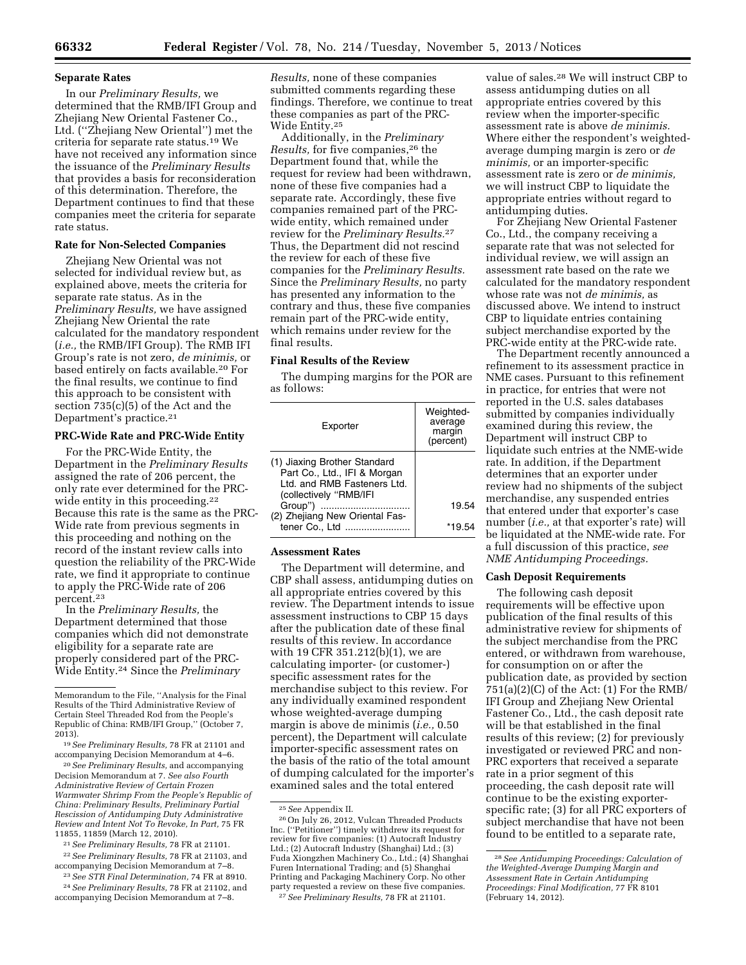## **Separate Rates**

In our *Preliminary Results,* we determined that the RMB/IFI Group and Zhejiang New Oriental Fastener Co., Ltd. (''Zhejiang New Oriental'') met the criteria for separate rate status.19 We have not received any information since the issuance of the *Preliminary Results*  that provides a basis for reconsideration of this determination. Therefore, the Department continues to find that these companies meet the criteria for separate rate status.

# **Rate for Non-Selected Companies**

Zhejiang New Oriental was not selected for individual review but, as explained above, meets the criteria for separate rate status. As in the *Preliminary Results,* we have assigned Zhejiang New Oriental the rate calculated for the mandatory respondent (*i.e.,* the RMB/IFI Group). The RMB IFI Group's rate is not zero, *de minimis,* or based entirely on facts available.20 For the final results, we continue to find this approach to be consistent with section 735(c)(5) of the Act and the Department's practice.21

#### **PRC-Wide Rate and PRC-Wide Entity**

For the PRC-Wide Entity, the Department in the *Preliminary Results*  assigned the rate of 206 percent, the only rate ever determined for the PRCwide entity in this proceeding.<sup>22</sup> Because this rate is the same as the PRC-Wide rate from previous segments in this proceeding and nothing on the record of the instant review calls into question the reliability of the PRC-Wide rate, we find it appropriate to continue to apply the PRC-Wide rate of 206 percent.23

In the *Preliminary Results,* the Department determined that those companies which did not demonstrate eligibility for a separate rate are properly considered part of the PRC-Wide Entity.24 Since the *Preliminary* 

20*See Preliminary Results,* and accompanying Decision Memorandum at 7. *See also Fourth Administrative Review of Certain Frozen Warmwater Shrimp From the People's Republic of China: Preliminary Results, Preliminary Partial Rescission of Antidumping Duty Administrative Review and Intent Not To Revoke, In Part,* 75 FR 11855, 11859 (March 12, 2010).

21*See Preliminary Results,* 78 FR at 21101. 22*See Preliminary Results,* 78 FR at 21103, and

accompanying Decision Memorandum at 7–8. 23*See STR Final Determination,* 74 FR at 8910.

24*See Preliminary Results,* 78 FR at 21102, and accompanying Decision Memorandum at 7–8.

*Results,* none of these companies submitted comments regarding these findings. Therefore, we continue to treat these companies as part of the PRC-Wide Entity.25

Additionally, in the *Preliminary Results,* for five companies,26 the Department found that, while the request for review had been withdrawn, none of these five companies had a separate rate. Accordingly, these five companies remained part of the PRCwide entity, which remained under review for the *Preliminary Results.*27 Thus, the Department did not rescind the review for each of these five companies for the *Preliminary Results.*  Since the *Preliminary Results,* no party has presented any information to the contrary and thus, these five companies remain part of the PRC-wide entity, which remains under review for the final results.

# **Final Results of the Review**

The dumping margins for the POR are as follows:

| Exporter                                                                                                              | Weighted-<br>average<br>margin<br>(percent) |
|-----------------------------------------------------------------------------------------------------------------------|---------------------------------------------|
| (1) Jiaxing Brother Standard<br>Part Co., Ltd., IFI & Morgan<br>Ltd. and RMB Fasteners Ltd.<br>(collectively "RMB/IFI |                                             |
| Group")                                                                                                               | 19.54                                       |
| (2) Zhejiang New Oriental Fas-<br>tener Co., Ltd                                                                      | *19.54                                      |

#### **Assessment Rates**

The Department will determine, and CBP shall assess, antidumping duties on all appropriate entries covered by this review. The Department intends to issue assessment instructions to CBP 15 days after the publication date of these final results of this review. In accordance with 19 CFR 351.212(b)(1), we are calculating importer- (or customer-) specific assessment rates for the merchandise subject to this review. For any individually examined respondent whose weighted-average dumping margin is above de minimis (*i.e.,* 0.50 percent), the Department will calculate importer-specific assessment rates on the basis of the ratio of the total amount of dumping calculated for the importer's examined sales and the total entered

value of sales.28 We will instruct CBP to assess antidumping duties on all appropriate entries covered by this review when the importer-specific assessment rate is above *de minimis.*  Where either the respondent's weightedaverage dumping margin is zero or *de minimis,* or an importer-specific assessment rate is zero or *de minimis,*  we will instruct CBP to liquidate the appropriate entries without regard to antidumping duties.

For Zhejiang New Oriental Fastener Co., Ltd., the company receiving a separate rate that was not selected for individual review, we will assign an assessment rate based on the rate we calculated for the mandatory respondent whose rate was not *de minimis,* as discussed above. We intend to instruct CBP to liquidate entries containing subject merchandise exported by the PRC-wide entity at the PRC-wide rate.

The Department recently announced a refinement to its assessment practice in NME cases. Pursuant to this refinement in practice, for entries that were not reported in the U.S. sales databases submitted by companies individually examined during this review, the Department will instruct CBP to liquidate such entries at the NME-wide rate. In addition, if the Department determines that an exporter under review had no shipments of the subject merchandise, any suspended entries that entered under that exporter's case number (*i.e.,* at that exporter's rate) will be liquidated at the NME-wide rate. For a full discussion of this practice, *see NME Antidumping Proceedings.* 

# **Cash Deposit Requirements**

The following cash deposit requirements will be effective upon publication of the final results of this administrative review for shipments of the subject merchandise from the PRC entered, or withdrawn from warehouse, for consumption on or after the publication date, as provided by section 751(a)(2)(C) of the Act: (1) For the RMB/ IFI Group and Zhejiang New Oriental Fastener Co., Ltd., the cash deposit rate will be that established in the final results of this review; (2) for previously investigated or reviewed PRC and non-PRC exporters that received a separate rate in a prior segment of this proceeding, the cash deposit rate will continue to be the existing exporterspecific rate; (3) for all PRC exporters of subject merchandise that have not been found to be entitled to a separate rate,

Memorandum to the File, ''Analysis for the Final Results of the Third Administrative Review of Certain Steel Threaded Rod from the People's Republic of China: RMB/IFI Group,'' (October 7, 2013).

<sup>19</sup>*See Preliminary Results,* 78 FR at 21101 and accompanying Decision Memorandum at 4–6.

<sup>&</sup>lt;sup>25</sup> See Appendix II.<br><sup>26</sup> On July 26, 2012, Vulcan Threaded Products Inc. (''Petitioner'') timely withdrew its request for review for five companies: (1) Autocraft Industry Ltd.; (2) Autocraft Industry (Shanghai) Ltd.; (3) Fuda Xiongzhen Machinery Co., Ltd.; (4) Shanghai Furen International Trading; and (5) Shanghai Printing and Packaging Machinery Corp. No other <sup>27</sup> See Preliminary Results, 78 FR at 21101.

<sup>28</sup>*See Antidumping Proceedings: Calculation of the Weighted-Average Dumping Margin and Assessment Rate in Certain Antidumping Proceedings: Final Modification,* 77 FR 8101 (February 14, 2012).